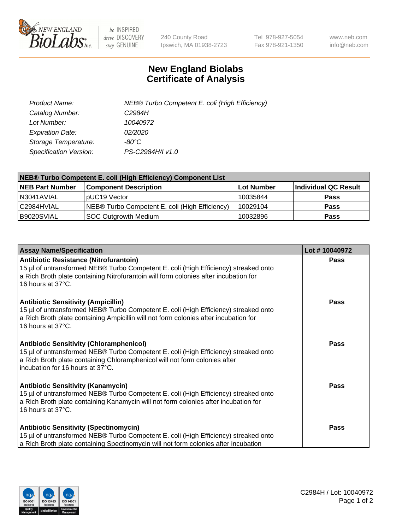

 $be$  INSPIRED drive DISCOVERY stay GENUINE

240 County Road Ipswich, MA 01938-2723 Tel 978-927-5054 Fax 978-921-1350 www.neb.com info@neb.com

## **New England Biolabs Certificate of Analysis**

| Product Name:           | NEB® Turbo Competent E. coli (High Efficiency) |
|-------------------------|------------------------------------------------|
| Catalog Number:         | C <sub>2984</sub> H                            |
| Lot Number:             | 10040972                                       |
| <b>Expiration Date:</b> | 02/2020                                        |
| Storage Temperature:    | -80°C                                          |
| Specification Version:  | PS-C2984H/I v1.0                               |

| NEB® Turbo Competent E. coli (High Efficiency) Component List |                                                |                   |                      |  |
|---------------------------------------------------------------|------------------------------------------------|-------------------|----------------------|--|
| <b>NEB Part Number</b>                                        | <b>Component Description</b>                   | <b>Lot Number</b> | Individual QC Result |  |
| N3041AVIAL                                                    | pUC19 Vector                                   | 10035844          | <b>Pass</b>          |  |
| C2984HVIAL                                                    | NEB® Turbo Competent E. coli (High Efficiency) | 10029104          | <b>Pass</b>          |  |
| B9020SVIAL                                                    | <b>SOC Outgrowth Medium</b>                    | 10032896          | <b>Pass</b>          |  |

| <b>Assay Name/Specification</b>                                                                                                                                                                                                                          | Lot #10040972 |
|----------------------------------------------------------------------------------------------------------------------------------------------------------------------------------------------------------------------------------------------------------|---------------|
| Antibiotic Resistance (Nitrofurantoin)<br>15 µl of untransformed NEB® Turbo Competent E. coli (High Efficiency) streaked onto<br>a Rich Broth plate containing Nitrofurantoin will form colonies after incubation for<br>16 hours at 37°C.               | <b>Pass</b>   |
| <b>Antibiotic Sensitivity (Ampicillin)</b><br>15 µl of untransformed NEB® Turbo Competent E. coli (High Efficiency) streaked onto<br>a Rich Broth plate containing Ampicillin will not form colonies after incubation for<br>16 hours at 37°C.           | <b>Pass</b>   |
| <b>Antibiotic Sensitivity (Chloramphenicol)</b><br>15 µl of untransformed NEB® Turbo Competent E. coli (High Efficiency) streaked onto<br>a Rich Broth plate containing Chloramphenicol will not form colonies after<br>incubation for 16 hours at 37°C. | Pass          |
| <b>Antibiotic Sensitivity (Kanamycin)</b><br>15 µl of untransformed NEB® Turbo Competent E. coli (High Efficiency) streaked onto<br>a Rich Broth plate containing Kanamycin will not form colonies after incubation for<br>16 hours at 37°C.             | Pass          |
| <b>Antibiotic Sensitivity (Spectinomycin)</b><br>15 µl of untransformed NEB® Turbo Competent E. coli (High Efficiency) streaked onto<br>a Rich Broth plate containing Spectinomycin will not form colonies after incubation                              | Pass          |